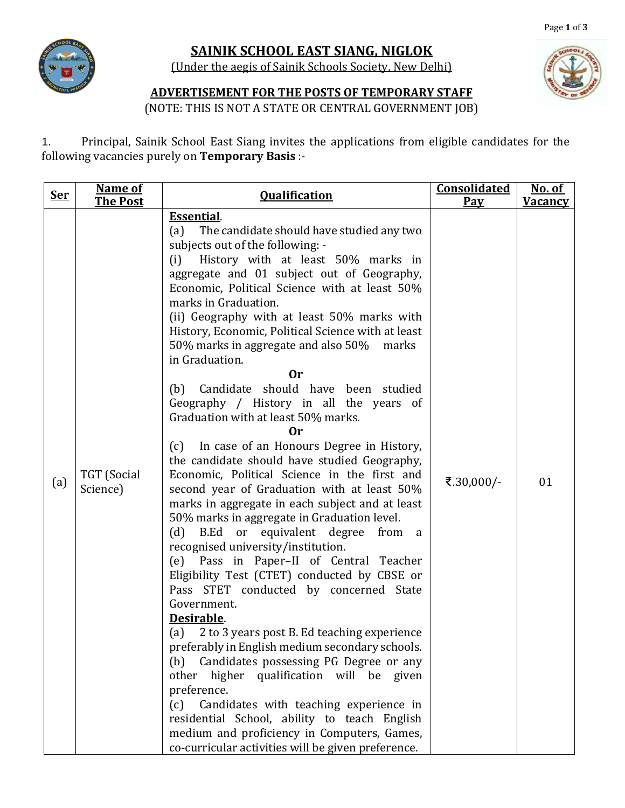

## **SAINIK SCHOOL EAST SIANG, NIGLOK**

(Under the aegis of Sainik Schools Society, New Delhi)



## **ADVERTISEMENT FOR THE POSTS OF TEMPORARY STAFF**

(NOTE: THIS IS NOT A STATE OR CENTRAL GOVERNMENT JOB)

1. Principal, Sainik School East Siang invites the applications from eligible candidates for the following vacancies purely on **Temporary Basis** :-

| <u>Ser</u> | <b>Name of</b><br><b>The Post</b> | <b>Qualification</b>                                                                                                                                                                                                                                                                                                                                                                                                                                                                                                                                                                                                                                                                                                                                                                                                                                                                                                                                                                                                                                                                                                                                                                                                                                                                                                                                                                                                                                                                                                                                                                                         | <b>Consolidated</b><br><u>Pay</u> | <u>No. of</u><br><u>Vacancy</u> |
|------------|-----------------------------------|--------------------------------------------------------------------------------------------------------------------------------------------------------------------------------------------------------------------------------------------------------------------------------------------------------------------------------------------------------------------------------------------------------------------------------------------------------------------------------------------------------------------------------------------------------------------------------------------------------------------------------------------------------------------------------------------------------------------------------------------------------------------------------------------------------------------------------------------------------------------------------------------------------------------------------------------------------------------------------------------------------------------------------------------------------------------------------------------------------------------------------------------------------------------------------------------------------------------------------------------------------------------------------------------------------------------------------------------------------------------------------------------------------------------------------------------------------------------------------------------------------------------------------------------------------------------------------------------------------------|-----------------------------------|---------------------------------|
| (a)        | TGT (Social<br>Science)           | <b>Essential.</b><br>The candidate should have studied any two<br>(a)<br>subjects out of the following: -<br>History with at least 50% marks in<br>(i)<br>aggregate and 01 subject out of Geography,<br>Economic, Political Science with at least 50%<br>marks in Graduation.<br>(ii) Geography with at least 50% marks with<br>History, Economic, Political Science with at least<br>50% marks in aggregate and also 50%<br>marks<br>in Graduation.<br>0r<br>Candidate should have been studied<br>(b)<br>Geography / History in all the years of<br>Graduation with at least 50% marks.<br><b>Or</b><br>In case of an Honours Degree in History,<br>(c)<br>the candidate should have studied Geography,<br>Economic, Political Science in the first and<br>second year of Graduation with at least 50%<br>marks in aggregate in each subject and at least<br>50% marks in aggregate in Graduation level.<br>B.Ed or equivalent degree<br>(d)<br>from<br><sub>a</sub><br>recognised university/institution.<br>(e) Pass in Paper-II of Central Teacher<br>Eligibility Test (CTET) conducted by CBSE or<br>Pass STET conducted by concerned State<br>Government.<br>Desirable.<br>2 to 3 years post B. Ed teaching experience<br>(a)<br>preferably in English medium secondary schools.<br>Candidates possessing PG Degree or any<br>(b)<br>higher qualification will be given<br>other<br>preference.<br>Candidates with teaching experience in<br>(c)<br>residential School, ability to teach English<br>medium and proficiency in Computers, Games,<br>co-curricular activities will be given preference. | ₹.30,000/-                        | 01                              |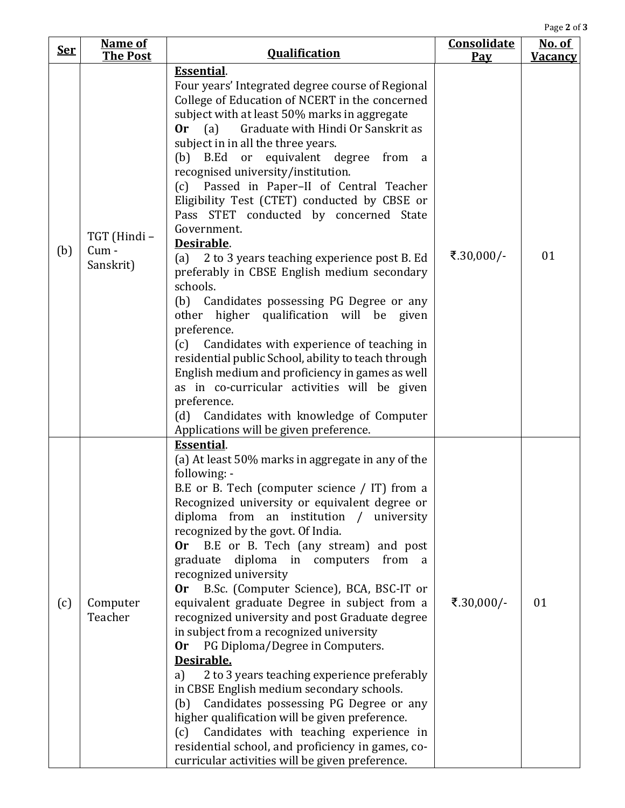Page **2** of **3**

| <u>Ser</u> | <b>Name of</b><br><b>The Post</b> | <b>Qualification</b>                                                                                                                                                                                                                                                                                                                                                                                                                                                                                                                                                                                                                                                                                                                                                                                                                                                                                                                                                                                                                                                                     | Consolidate<br>Pay | <u>No. of</u><br><b>Vacancy</b> |
|------------|-----------------------------------|------------------------------------------------------------------------------------------------------------------------------------------------------------------------------------------------------------------------------------------------------------------------------------------------------------------------------------------------------------------------------------------------------------------------------------------------------------------------------------------------------------------------------------------------------------------------------------------------------------------------------------------------------------------------------------------------------------------------------------------------------------------------------------------------------------------------------------------------------------------------------------------------------------------------------------------------------------------------------------------------------------------------------------------------------------------------------------------|--------------------|---------------------------------|
| (b)        | TGT (Hindi-<br>Cum -<br>Sanskrit) | <b>Essential.</b><br>Four years' Integrated degree course of Regional<br>College of Education of NCERT in the concerned<br>subject with at least 50% marks in aggregate<br>Graduate with Hindi Or Sanskrit as<br><b>Or</b><br>(a)<br>subject in in all the three years.<br>(b) B.Ed or equivalent degree from<br><sub>a</sub><br>recognised university/institution.<br>(c) Passed in Paper-II of Central Teacher<br>Eligibility Test (CTET) conducted by CBSE or<br>Pass STET conducted by concerned State<br>Government.<br>Desirable.<br>2 to 3 years teaching experience post B. Ed<br>(a)<br>preferably in CBSE English medium secondary<br>schools.<br>(b) Candidates possessing PG Degree or any<br>other higher qualification will be given<br>preference.<br>Candidates with experience of teaching in<br>(c)<br>residential public School, ability to teach through<br>English medium and proficiency in games as well<br>as in co-curricular activities will be given<br>preference.<br>Candidates with knowledge of Computer<br>(d)<br>Applications will be given preference. | ₹.30,000/-         | 01                              |
| (c)        | Computer<br>Teacher               | <b>Essential.</b><br>(a) At least 50% marks in aggregate in any of the<br>following: -<br>B.E or B. Tech (computer science / IT) from a<br>Recognized university or equivalent degree or<br>diploma from an institution / university<br>recognized by the govt. Of India.<br>B.E or B. Tech (any stream) and post<br>0r<br>graduate diploma in computers from a<br>recognized university<br>B.Sc. (Computer Science), BCA, BSC-IT or<br>0r<br>equivalent graduate Degree in subject from a<br>recognized university and post Graduate degree<br>in subject from a recognized university<br>Or PG Diploma/Degree in Computers.<br>Desirable.<br>2 to 3 years teaching experience preferably<br>a)<br>in CBSE English medium secondary schools.<br>Candidates possessing PG Degree or any<br>(b)<br>higher qualification will be given preference.<br>Candidates with teaching experience in<br>(c)<br>residential school, and proficiency in games, co-<br>curricular activities will be given preference.                                                                                | ₹.30,000/-         | 01                              |